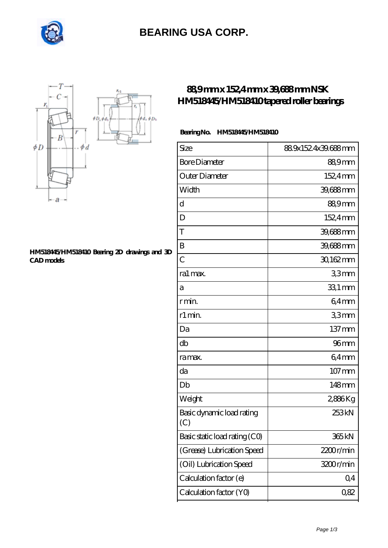

# **[BEARING USA CORP.](https://internationalbonsaiforum.com)**



#### **[HM518445/HM518410 Bearing 2D drawings and 3D](https://internationalbonsaiforum.com/pic-65127288.html) [CAD models](https://internationalbonsaiforum.com/pic-65127288.html)**

### **[88,9 mm x 152,4 mm x 39,688 mm NSK](https://internationalbonsaiforum.com/nsk-hm518445-hm518410-bearing/) [HM518445/HM518410 tapered roller bearings](https://internationalbonsaiforum.com/nsk-hm518445-hm518410-bearing/)**

### **Bearing No. HM518445/HM518410**

| Size                             | 889x1524x39.688mm   |
|----------------------------------|---------------------|
| <b>Bore Diameter</b>             | 88,9mm              |
| Outer Diameter                   | 152,4mm             |
| Width                            | 39,688mm            |
| d                                | 88,9mm              |
| D                                | 152,4mm             |
| Τ                                | 39,688mm            |
| B                                | 39,688mm            |
| $\overline{C}$                   | 30,162mm            |
| ra1 max.                         | 33mm                |
| а                                | 33,1 mm             |
| r min.                           | 64mm                |
| r1 min.                          | 33mm                |
| Da                               | $137 \,\mathrm{mm}$ |
| db                               | 96 <sub>mm</sub>    |
| ra max.                          | $64$ mm             |
| da                               | $107$ mm            |
| Db                               | 148mm               |
| Weight                           | 2886Kg              |
| Basic dynamic load rating<br>(C) | 253 <sub>kN</sub>   |
| Basic static load rating (CO)    | 365 kN              |
| (Grease) Lubrication Speed       | 2200r/min           |
| (Oil) Lubrication Speed          | 3200r/min           |
| Calculation factor (e)           | Q <sub>4</sub>      |
| Calculation factor (YO)          | 0,82                |
|                                  |                     |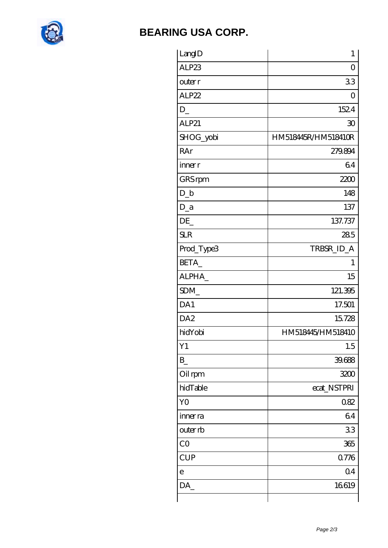

## **[BEARING USA CORP.](https://internationalbonsaiforum.com)**

| LangID          | $\mathbf 1$         |
|-----------------|---------------------|
| ALP23           | $\Omega$            |
| outer r         | 33                  |
| ALP22           | 0                   |
| $D_{-}$         | 1524                |
| ALP21           | 30                  |
| SHOG_yobi       | HM518445R/HM518410R |
| RAr             | 279.894             |
| inner r         | 64                  |
| GRS rpm         | 2200                |
| $D_{-}b$        | 148                 |
| $D_a$           | 137                 |
| DE              | 137.737             |
| <b>SLR</b>      | 285                 |
| Prod_Type3      | TRBSR_ID_A          |
| BETA_           | 1                   |
| ALPHA_          | 15                  |
| SDM             | 121.395             |
| DA1             | 17.501              |
| DA <sub>2</sub> | 15728               |
| hidYobi         | HM518445/HM518410   |
| Y1              | 1.5                 |
| $B_{-}$         | 39.688              |
| Oil rpm         | 3200                |
| hidTable        | ecat_NSTPRI         |
| Y <sub>O</sub>  | 082                 |
| inner ra        | 64                  |
| outer rb        | 33                  |
| CO              | 365                 |
| <b>CUP</b>      | 0.776               |
| $\mathbf e$     | Q <sub>4</sub>      |
| DA              | 16619               |
|                 |                     |